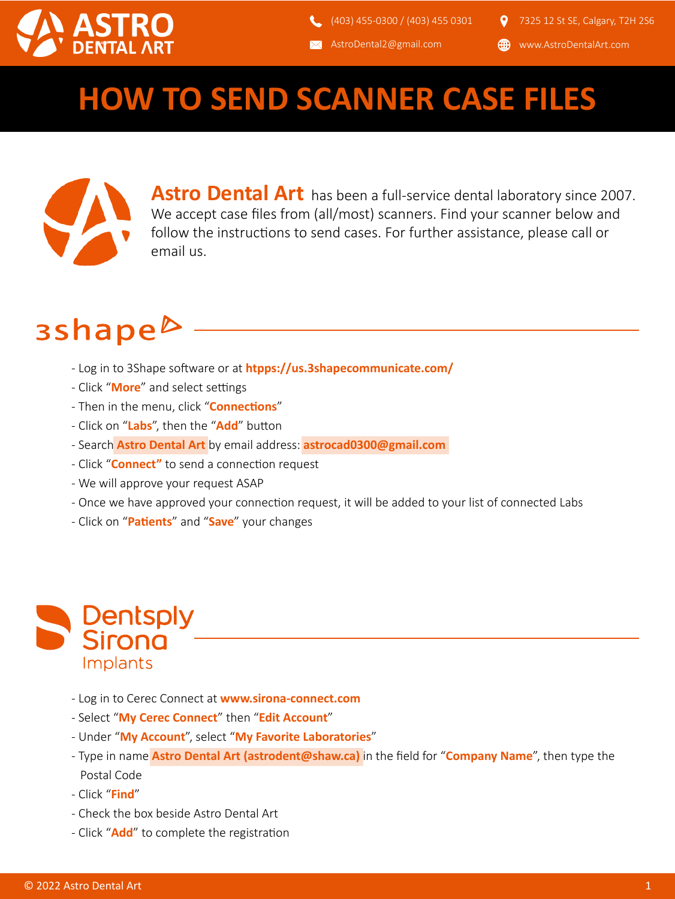

**AstroDental2@gmail.com** 

www.AstroDentalArt.com

### **HOW TO SEND SCANNER CASE FILES**



**Astro Dental Art** has been a full-service dental laboratory since 2007. We accept case files from (all/most) scanners. Find your scanner below and follow the instructions to send cases. For further assistance, please call or email us.

### 3shape<sup>b</sup>

- Log in to 3Shape so�ware or at **htpps://us.3shapecommunicate.com/**
- Click "More" and select settings
- Then in the menu, click "**Connections**"
- Click on "Labs", then the "Add" button
- Search **Astro Dental Art** by email address: **astrocad0300@gmail.com**
- Click "**Connect"** to send a connection request
- We will approve your request ASAP
- Once we have approved your connection request, it will be added to your list of connected Labs
- Click on "**Pa�ents**" and "**Save**" your changes



- Log in to Cerec Connect at **www.sirona-connect.com**
- Select "**My Cerec Connect**" then "**Edit Account**"
- Under "**My Account**", select "**My Favorite Laboratories**"
- Type in name **Astro Dental Art (astrodent@shaw.ca)** in the field for "**Company Name**", then type the Postal Code
- Click "**Find**"
- Check the box beside Astro Dental Art
- Click "**Add**" to complete the registration